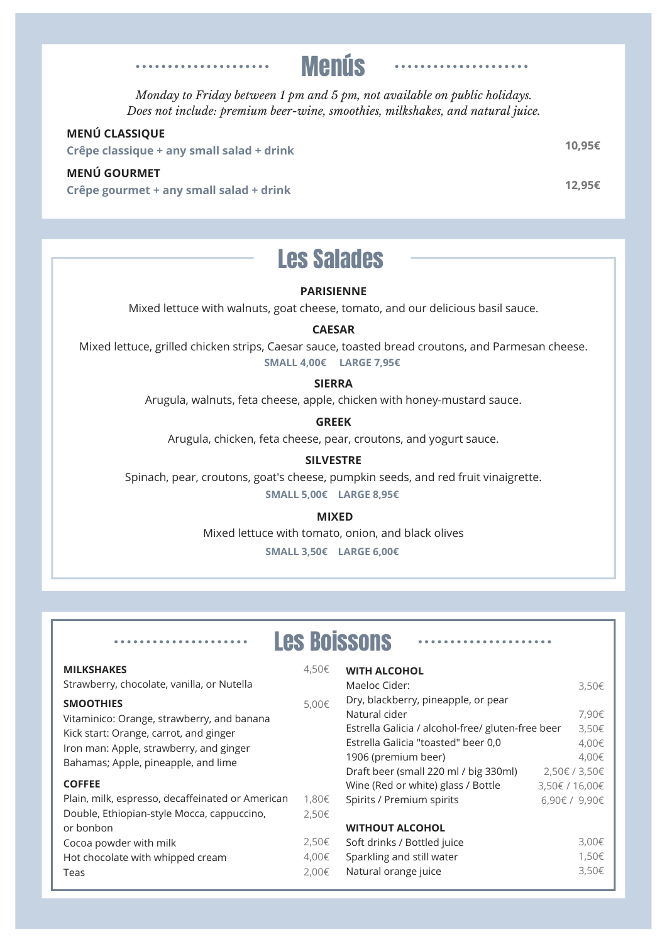### . . . . . . . . . . . . . .

*Monday to Friday between 1 pm and 5 pm, not available on public holidays. Does not include: premium beer-wine, smoothies, milkshakes, and natural juice.*

Menús

### **MENÚ CLASSIQUE**

**Crêpe classique + any small salad + drink**

#### **MENÚ GOURMET**

**Crêpe gourmet + any small salad + drink**

#### Les Salades — Mixed lettuce with walnuts, goat cheese, tomato, and our delicious basil sauce.

#### **PARISIENNE**

Mixed lettuce with walnuts, goat cheese, tomato, and our delicious basil sauce.  $\blacksquare$ 

### $CAESAR$

Mixed lettuce, grilled chicken strips, Caesar sauce, toasted bread croutons, and Parmesan cheese. Arugula and lamb's lettuce mix, walnuts, feta cheese, apple, chicken with honey-mustard sauce. **SMALL 4,00€ LARGE 7,95€**

#### **Greek SIERRA**

Arugula, walnuts, feta cheese, apple, chicken with honey-mustard sauce.

#### **GREEK**

Arugula, chicken, feta cheese, pear, croutons, and yogurt sauce. Arugula, chicken, feta cheese, pear, croutons, and yogurt sauce.

### SILVESTRE

**Mixed** Spinach, pear, croutons, goat's cheese, pumpkin seeds, and red fruit vinaigrette. **SMALL 5,00€ LARGE 8,95€** 

### **MIXED**

Mixed lettuce with tomato, onion, and black olives **SMALL 3,50€ LARGE 6,00€**

## Les Boissons

| <b>MILKSHAKES</b>                                | 4,50€      | <b>WITH ALCOHOL</b>                               |                |
|--------------------------------------------------|------------|---------------------------------------------------|----------------|
| Strawberry, chocolate, vanilla, or Nutella       |            | Maeloc Cider:                                     | 3,50€          |
| <b>SMOOTHIES</b>                                 | 5,00€      | Dry, blackberry, pineapple, or pear               |                |
| Vitaminico: Orange, strawberry, and banana       |            | Natural cider                                     | 7.90€          |
| Kick start: Orange, carrot, and ginger           |            | Estrella Galicia / alcohol-free/ gluten-free beer | 3,50€          |
| Iron man: Apple, strawberry, and ginger          |            | Estrella Galicia "toasted" beer 0,0               | 4,00€          |
| Bahamas; Apple, pineapple, and lime              |            | 1906 (premium beer)                               | 4,00€          |
|                                                  |            | Draft beer (small 220 ml / big 330ml)             | 2,50€/3,50€    |
| <b>COFFEE</b>                                    |            | Wine (Red or white) glass / Bottle                | 3,50€ / 16,00€ |
| Plain, milk, espresso, decaffeinated or American | 1,80€      | Spirits / Premium spirits                         | 6,90€ / 9,90€  |
| Double, Ethiopian-style Mocca, cappuccino,       | 2,50€      |                                                   |                |
| or bonbon                                        |            | <b>WITHOUT ALCOHOL</b>                            |                |
| Cocoa powder with milk                           | $2,50 \in$ | Soft drinks / Bottled juice                       | 3,00€          |
| Hot chocolate with whipped cream                 | 4,00€      | Sparkling and still water                         | 1,50€          |
| Teas                                             | 2,00€      | Natural orange juice                              | 3,50€          |
|                                                  |            |                                                   |                |

. . . . . . . .

**10,95€**

**12,95€**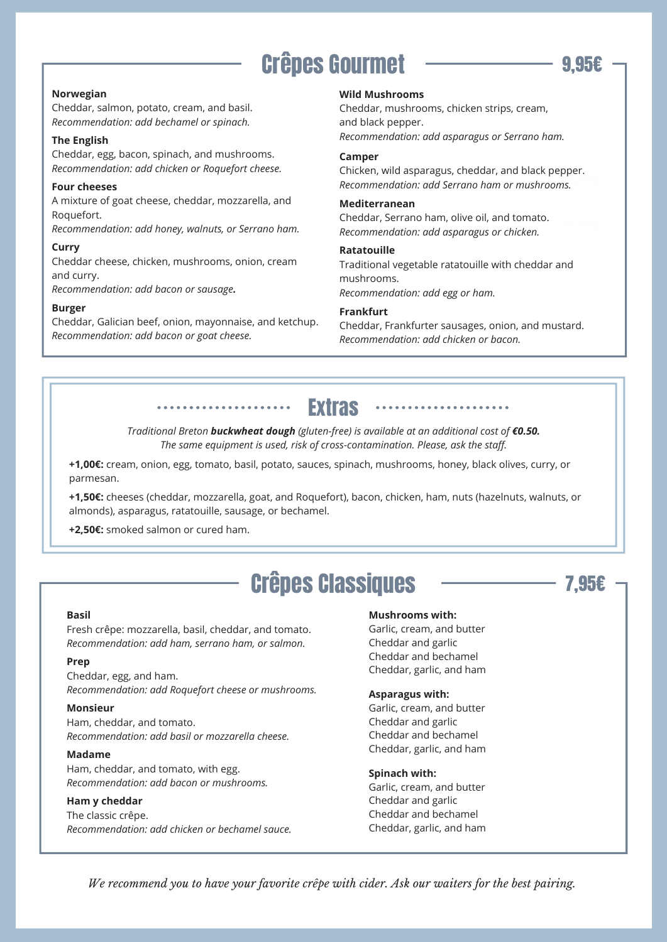# **Crêpes Gourmet**



Cheddar, salmon, potato, cream, and basil. *Recommendation: add bechamel or spinach.*

#### **The English**

Cheddar, egg, bacon, spinach, and mushrooms. *Recommendation: add chicken or Roquefort cheese.*

#### **Four cheeses**

A mixture of goat cheese, cheddar, mozzarella, and Roquefort.

*Recommendation: add honey, walnuts, or Serrano ham.*

#### **Curry**

Cheddar cheese, chicken, mushrooms, onion, cream and curry.

*Recommendation: add bacon or sausage.*

#### **Burger**

Cheddar, Galician beef, onion, mayonnaise, and ketchup. *Recommendation: add bacon or goat cheese.*

#### **Wild Mushrooms**

Cheddar, mushrooms, chicken strips, cream, and black pepper. *Recommendation: add asparagus or Serrano ham.*

#### **Camper**

Chicken, wild asparagus, cheddar, and black pepper. *Recommendation: add Serrano ham or mushrooms.*

#### **Mediterranean**

Cheddar, Serrano ham, olive oil, and tomato. *Recommendation: add asparagus or chicken.*

#### **Ratatouille**

Traditional vegetable ratatouille with cheddar and mushrooms. *Recommendation: add egg or ham.* 

#### **Frankfurt**

Cheddar, Frankfurter sausages, onion, and mustard. *Recommendation: add chicken or bacon.*

#### .................... **Extras** . . . . . . . . . . .

#### *Traditional Breton buckwheat dough (gluten-free) is available at an additional cost of €0.50. The same equipment is used, risk of cross-contamination. Please, ask the staff.*

**+1,00€:** cream, onion, egg, tomato, basil, potato, sauces, spinach, mushrooms, honey, black olives, curry, or parmesan.

**+1,50€:** cheeses (cheddar, mozzarella, goat, and Roquefort), bacon, chicken, ham, nuts (hazelnuts, walnuts, or almonds), asparagus, ratatouille, sausage, or bechamel.

**+2,50€:** smoked salmon or cured ham.

# Crêpes Classiques ––––––––––– 7,95€

#### **Basil**

Fresh crêpe: mozzarella, basil, cheddar, and tomato. *Recommendation: add ham, serrano ham, or salmon.*

#### **Prep**

Cheddar, egg, and ham. *Recommendation: add Roquefort cheese or mushrooms.*

#### **Monsieur**

Ham, cheddar, and tomato. *Recommendation: add basil or mozzarella cheese.*

#### **Madame**

Ham, cheddar, and tomato, with egg. *Recommendation: add bacon or mushrooms.*

#### **Ham y cheddar**

The classic crêpe. *Recommendation: add chicken or bechamel sauce.*

#### **Mushrooms with:**

Garlic, cream, and butter Cheddar and garlic Cheddar and bechamel Cheddar, garlic, and ham

#### **Asparagus with:**

Garlic, cream, and butter Cheddar and garlic Cheddar and bechamel Cheddar, garlic, and ham

#### **Spinach with:**

Garlic, cream, and butter Cheddar and garlic Cheddar and bechamel Cheddar, garlic, and ham

*We recommend you to have your favorite crêpe with cider. Ask our waiters for the best pairing.*